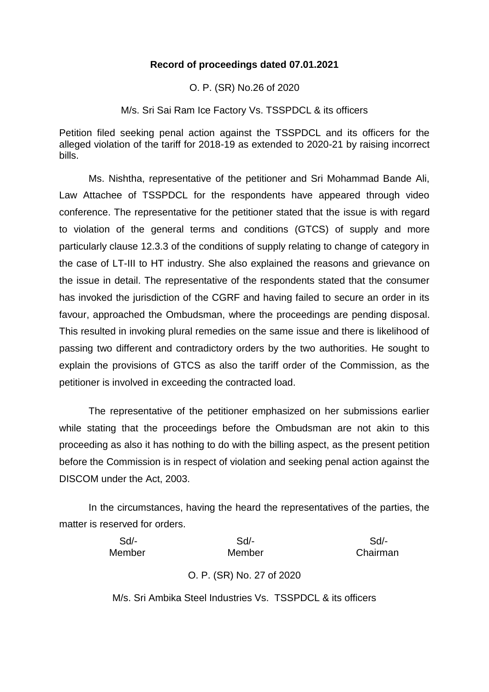## **Record of proceedings dated 07.01.2021**

O. P. (SR) No.26 of 2020

M/s. Sri Sai Ram Ice Factory Vs. TSSPDCL & its officers

Petition filed seeking penal action against the TSSPDCL and its officers for the alleged violation of the tariff for 2018-19 as extended to 2020-21 by raising incorrect bills.

Ms. Nishtha, representative of the petitioner and Sri Mohammad Bande Ali, Law Attachee of TSSPDCL for the respondents have appeared through video conference. The representative for the petitioner stated that the issue is with regard to violation of the general terms and conditions (GTCS) of supply and more particularly clause 12.3.3 of the conditions of supply relating to change of category in the case of LT-III to HT industry. She also explained the reasons and grievance on the issue in detail. The representative of the respondents stated that the consumer has invoked the jurisdiction of the CGRF and having failed to secure an order in its favour, approached the Ombudsman, where the proceedings are pending disposal. This resulted in invoking plural remedies on the same issue and there is likelihood of passing two different and contradictory orders by the two authorities. He sought to explain the provisions of GTCS as also the tariff order of the Commission, as the petitioner is involved in exceeding the contracted load.

The representative of the petitioner emphasized on her submissions earlier while stating that the proceedings before the Ombudsman are not akin to this proceeding as also it has nothing to do with the billing aspect, as the present petition before the Commission is in respect of violation and seeking penal action against the DISCOM under the Act, 2003.

In the circumstances, having the heard the representatives of the parties, the matter is reserved for orders.

| $Sd$ - | $Sd$ -                                     | Sd       |
|--------|--------------------------------------------|----------|
| Member | Member                                     | Chairman |
|        | $\Omega$ $\Omega$ $(0,0)$ $\Omega$ $(0,0)$ |          |

O. P. (SR) No. 27 of 2020

M/s. Sri Ambika Steel Industries Vs. TSSPDCL & its officers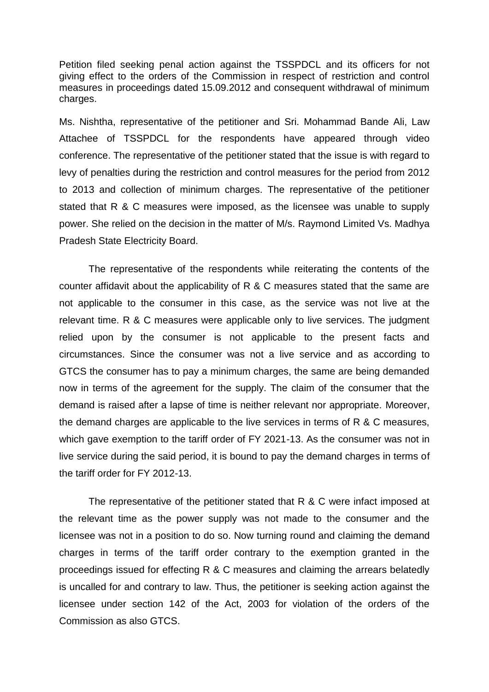Petition filed seeking penal action against the TSSPDCL and its officers for not giving effect to the orders of the Commission in respect of restriction and control measures in proceedings dated 15.09.2012 and consequent withdrawal of minimum charges.

Ms. Nishtha, representative of the petitioner and Sri. Mohammad Bande Ali, Law Attachee of TSSPDCL for the respondents have appeared through video conference. The representative of the petitioner stated that the issue is with regard to levy of penalties during the restriction and control measures for the period from 2012 to 2013 and collection of minimum charges. The representative of the petitioner stated that R & C measures were imposed, as the licensee was unable to supply power. She relied on the decision in the matter of M/s. Raymond Limited Vs. Madhya Pradesh State Electricity Board.

The representative of the respondents while reiterating the contents of the counter affidavit about the applicability of R & C measures stated that the same are not applicable to the consumer in this case, as the service was not live at the relevant time. R & C measures were applicable only to live services. The judgment relied upon by the consumer is not applicable to the present facts and circumstances. Since the consumer was not a live service and as according to GTCS the consumer has to pay a minimum charges, the same are being demanded now in terms of the agreement for the supply. The claim of the consumer that the demand is raised after a lapse of time is neither relevant nor appropriate. Moreover, the demand charges are applicable to the live services in terms of R & C measures, which gave exemption to the tariff order of FY 2021-13. As the consumer was not in live service during the said period, it is bound to pay the demand charges in terms of the tariff order for FY 2012-13.

The representative of the petitioner stated that R & C were infact imposed at the relevant time as the power supply was not made to the consumer and the licensee was not in a position to do so. Now turning round and claiming the demand charges in terms of the tariff order contrary to the exemption granted in the proceedings issued for effecting R & C measures and claiming the arrears belatedly is uncalled for and contrary to law. Thus, the petitioner is seeking action against the licensee under section 142 of the Act, 2003 for violation of the orders of the Commission as also GTCS.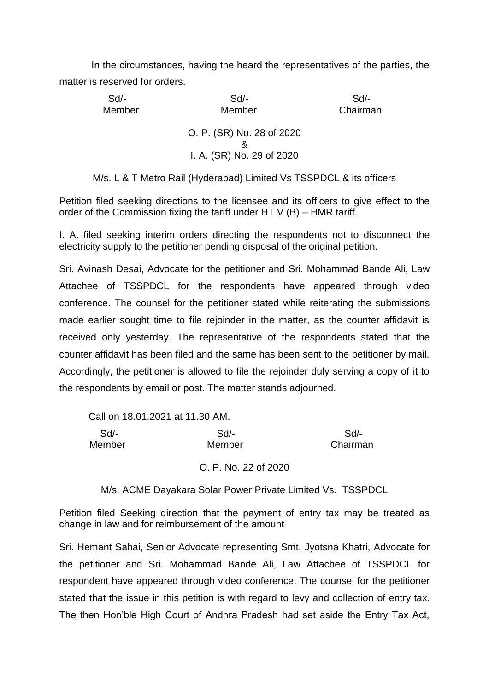In the circumstances, having the heard the representatives of the parties, the matter is reserved for orders.

| $Sd$ - | Sd                                                     | Sd       |
|--------|--------------------------------------------------------|----------|
| Member | Member                                                 | Chairman |
|        | O. P. (SR) No. 28 of 2020<br>I. A. (SR) No. 29 of 2020 |          |

M/s. L & T Metro Rail (Hyderabad) Limited Vs TSSPDCL & its officers

Petition filed seeking directions to the licensee and its officers to give effect to the order of the Commission fixing the tariff under HT V (B) – HMR tariff.

I. A. filed seeking interim orders directing the respondents not to disconnect the electricity supply to the petitioner pending disposal of the original petition.

Sri. Avinash Desai, Advocate for the petitioner and Sri. Mohammad Bande Ali, Law Attachee of TSSPDCL for the respondents have appeared through video conference. The counsel for the petitioner stated while reiterating the submissions made earlier sought time to file rejoinder in the matter, as the counter affidavit is received only yesterday. The representative of the respondents stated that the counter affidavit has been filed and the same has been sent to the petitioner by mail. Accordingly, the petitioner is allowed to file the rejoinder duly serving a copy of it to the respondents by email or post. The matter stands adjourned.

| Call on 18.01.2021 at 11.30 AM. |                      |          |
|---------------------------------|----------------------|----------|
| Sd                              | Sd/-                 | Sd       |
| Member                          | Member               | Chairman |
|                                 | O. P. No. 22 of 2020 |          |

M/s. ACME Dayakara Solar Power Private Limited Vs. TSSPDCL

Petition filed Seeking direction that the payment of entry tax may be treated as change in law and for reimbursement of the amount

Sri. Hemant Sahai, Senior Advocate representing Smt. Jyotsna Khatri, Advocate for the petitioner and Sri. Mohammad Bande Ali, Law Attachee of TSSPDCL for respondent have appeared through video conference. The counsel for the petitioner stated that the issue in this petition is with regard to levy and collection of entry tax. The then Hon'ble High Court of Andhra Pradesh had set aside the Entry Tax Act,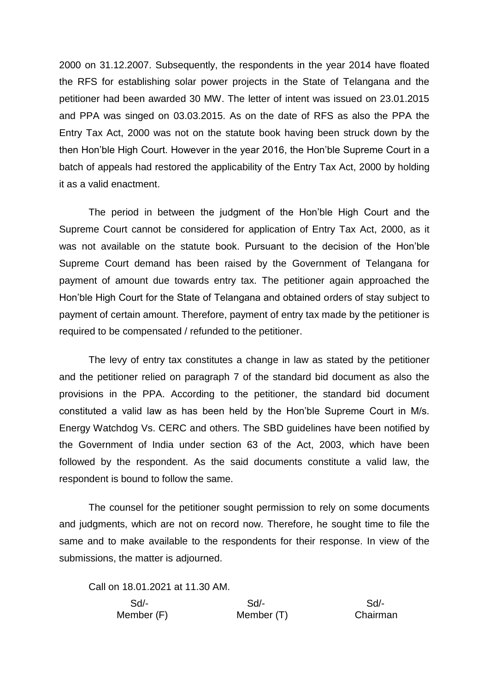2000 on 31.12.2007. Subsequently, the respondents in the year 2014 have floated the RFS for establishing solar power projects in the State of Telangana and the petitioner had been awarded 30 MW. The letter of intent was issued on 23.01.2015 and PPA was singed on 03.03.2015. As on the date of RFS as also the PPA the Entry Tax Act, 2000 was not on the statute book having been struck down by the then Hon'ble High Court. However in the year 2016, the Hon'ble Supreme Court in a batch of appeals had restored the applicability of the Entry Tax Act, 2000 by holding it as a valid enactment.

The period in between the judgment of the Hon'ble High Court and the Supreme Court cannot be considered for application of Entry Tax Act, 2000, as it was not available on the statute book. Pursuant to the decision of the Hon'ble Supreme Court demand has been raised by the Government of Telangana for payment of amount due towards entry tax. The petitioner again approached the Hon'ble High Court for the State of Telangana and obtained orders of stay subject to payment of certain amount. Therefore, payment of entry tax made by the petitioner is required to be compensated / refunded to the petitioner.

The levy of entry tax constitutes a change in law as stated by the petitioner and the petitioner relied on paragraph 7 of the standard bid document as also the provisions in the PPA. According to the petitioner, the standard bid document constituted a valid law as has been held by the Hon'ble Supreme Court in M/s. Energy Watchdog Vs. CERC and others. The SBD guidelines have been notified by the Government of India under section 63 of the Act, 2003, which have been followed by the respondent. As the said documents constitute a valid law, the respondent is bound to follow the same.

The counsel for the petitioner sought permission to rely on some documents and judgments, which are not on record now. Therefore, he sought time to file the same and to make available to the respondents for their response. In view of the submissions, the matter is adjourned.

Call on 18.01.2021 at 11.30 AM. Sd/- Sd/- Sd/- Member (F) Member (T) Chairman